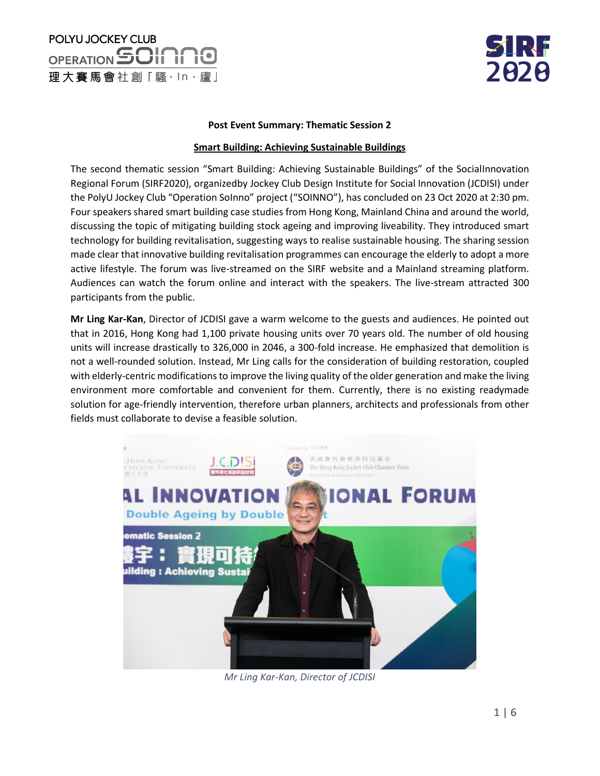# POLYU JOCKEY CLUB OPERATION SOINNO 理大賽馬會社創「騷·ln·廬」



#### **Post Event Summary: Thematic Session 2**

### **Smart Building: Achieving Sustainable Buildings**

The second thematic session "Smart Building: Achieving Sustainable Buildings" of the SocialInnovation Regional Forum (SIRF2020), organizedby Jockey Club Design Institute for Social Innovation (JCDISI) under the PolyU Jockey Club "Operation SoInno" project ("SOINNO"), has concluded on 23 Oct 2020 at 2:30 pm. Four speakers shared smart building case studies from Hong Kong, Mainland China and around the world, discussing the topic of mitigating building stock ageing and improving liveability. They introduced smart technology for building revitalisation, suggesting ways to realise sustainable housing. The sharing session made clear that innovative building revitalisation programmes can encourage the elderly to adopt a more active lifestyle. The forum was live-streamed on the SIRF website and a Mainland streaming platform. Audiences can watch the forum online and interact with the speakers. The live-stream attracted 300 participants from the public.

**Mr Ling Kar-Kan**, Director of JCDISI gave a warm welcome to the guests and audiences. He pointed out that in 2016, Hong Kong had 1,100 private housing units over 70 years old. The number of old housing units will increase drastically to 326,000 in 2046, a 300-fold increase. He emphasized that demolition is not a well-rounded solution. Instead, Mr Ling calls for the consideration of building restoration, coupled with elderly-centric modifications to improve the living quality of the older generation and make the living environment more comfortable and convenient for them. Currently, there is no existing readymade solution for age-friendly intervention, therefore urban planners, architects and professionals from other fields must collaborate to devise a feasible solution.



*Mr Ling Kar-Kan, Director of JCDISI*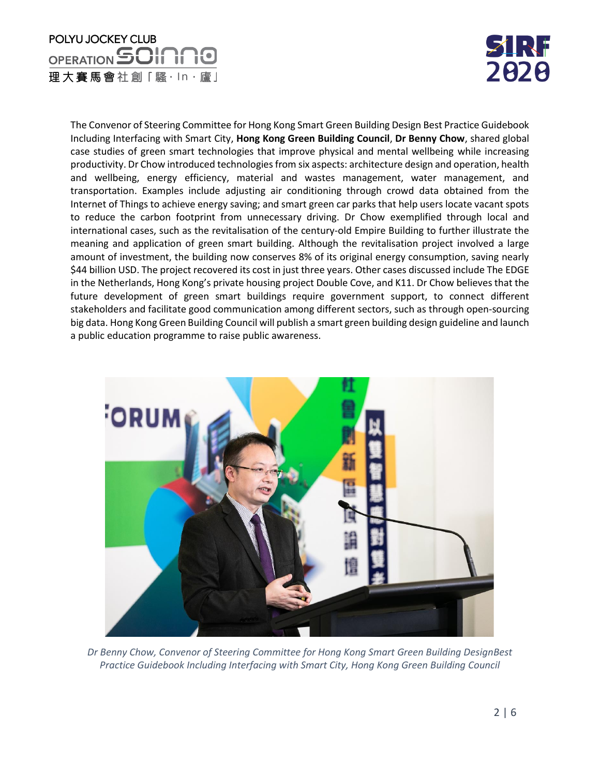## POLYU JOCKEY CLUB OPERATION SOINNO 理大賽馬會社創「騷·ln·廬」



The Convenor of Steering Committee for Hong Kong Smart Green Building Design Best Practice Guidebook Including Interfacing with Smart City, **Hong Kong Green Building Council**, **Dr Benny Chow**, shared global case studies of green smart technologies that improve physical and mental wellbeing while increasing productivity. Dr Chow introduced technologiesfrom six aspects: architecture design and operation, health and wellbeing, energy efficiency, material and wastes management, water management, and transportation. Examples include adjusting air conditioning through crowd data obtained from the Internet of Things to achieve energy saving; and smart green car parks that help users locate vacant spots to reduce the carbon footprint from unnecessary driving. Dr Chow exemplified through local and international cases, such as the revitalisation of the century-old Empire Building to further illustrate the meaning and application of green smart building. Although the revitalisation project involved a large amount of investment, the building now conserves 8% of its original energy consumption, saving nearly \$44 billion USD. The project recovered its cost in just three years. Other cases discussed include The EDGE in the Netherlands, Hong Kong's private housing project Double Cove, and K11. Dr Chow believes that the future development of green smart buildings require government support, to connect different stakeholders and facilitate good communication among different sectors, such as through open-sourcing big data. Hong Kong Green Building Council will publish a smart green building design guideline and launch a public education programme to raise public awareness.



*Dr Benny Chow, Convenor of Steering Committee for Hong Kong Smart Green Building DesignBest Practice Guidebook Including Interfacing with Smart City, Hong Kong Green Building Council*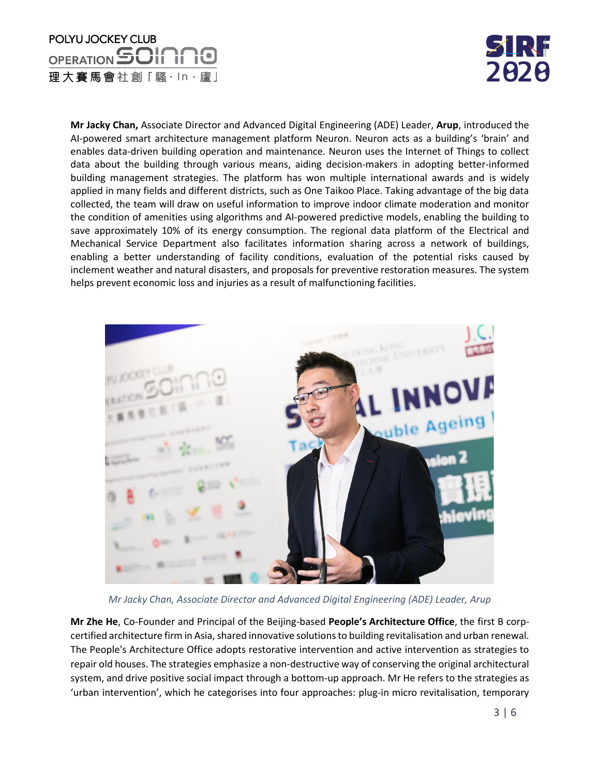## POLYU JOCKEY CLUB OPERATION **SOINNO** 理大賽馬會社創「騷·ln·廬」



**Mr Jacky Chan,** Associate Director and Advanced Digital Engineering (ADE) Leader, **Arup**, introduced the AI-powered smart architecture management platform Neuron. Neuron acts as a building's 'brain' and enables data-driven building operation and maintenance. Neuron uses the Internet of Things to collect data about the building through various means, aiding decision-makers in adopting better-informed building management strategies. The platform has won multiple international awards and is widely applied in many fields and different districts, such as One Taikoo Place. Taking advantage of the big data collected, the team will draw on useful information to improve indoor climate moderation and monitor the condition of amenities using algorithms and AI-powered predictive models, enabling the building to save approximately 10% of its energy consumption. The regional data platform of the Electrical and Mechanical Service Department also facilitates information sharing across a network of buildings, enabling a better understanding of facility conditions, evaluation of the potential risks caused by inclement weather and natural disasters, and proposals for preventive restoration measures. The system helps prevent economic loss and injuries as a result of malfunctioning facilities.



*Mr Jacky Chan, Associate Director and Advanced Digital Engineering (ADE) Leader, Arup*

**Mr Zhe He**, Co-Founder and Principal of the Beijing-based **People's Architecture Office**, the first B corpcertified architecture firm in Asia, shared innovative solutions to building revitalisation and urban renewal. The People's Architecture Office adopts restorative intervention and active intervention as strategies to repair old houses. The strategies emphasize a non-destructive way of conserving the original architectural system, and drive positive social impact through a bottom-up approach. Mr He refers to the strategies as 'urban intervention', which he categorises into four approaches: plug-in micro revitalisation, temporary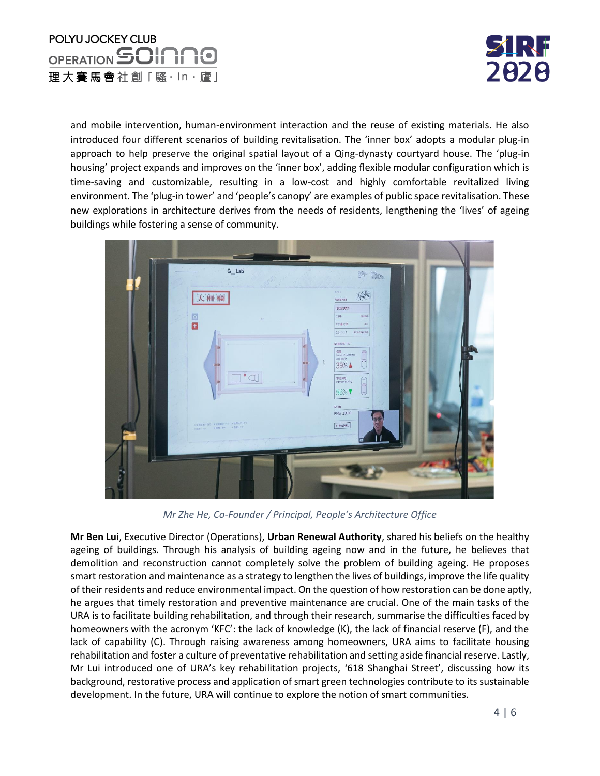



and mobile intervention, human-environment interaction and the reuse of existing materials. He also introduced four different scenarios of building revitalisation. The 'inner box' adopts a modular plug-in approach to help preserve the original spatial layout of a Qing-dynasty courtyard house. The 'plug-in housing' project expands and improves on the 'inner box', adding flexible modular configuration which is time-saving and customizable, resulting in a low-cost and highly comfortable revitalized living environment. The 'plug-in tower' and 'people's canopy' are examples of public space revitalisation. These new explorations in architecture derives from the needs of residents, lengthening the 'lives' of ageing buildings while fostering a sense of community.



*Mr Zhe He, Co-Founder / Principal, People's Architecture Office*

**Mr Ben Lui**, Executive Director (Operations), **Urban Renewal Authority**, shared his beliefs on the healthy ageing of buildings. Through his analysis of building ageing now and in the future, he believes that demolition and reconstruction cannot completely solve the problem of building ageing. He proposes smart restoration and maintenance as a strategy to lengthen the lives of buildings, improve the life quality of their residents and reduce environmental impact. On the question of how restoration can be done aptly, he argues that timely restoration and preventive maintenance are crucial. One of the main tasks of the URA is to facilitate building rehabilitation, and through their research, summarise the difficulties faced by homeowners with the acronym 'KFC': the lack of knowledge (K), the lack of financial reserve (F), and the lack of capability (C). Through raising awareness among homeowners, URA aims to facilitate housing rehabilitation and foster a culture of preventative rehabilitation and setting aside financial reserve. Lastly, Mr Lui introduced one of URA's key rehabilitation projects, '618 Shanghai Street', discussing how its background, restorative process and application of smart green technologies contribute to its sustainable development. In the future, URA will continue to explore the notion of smart communities.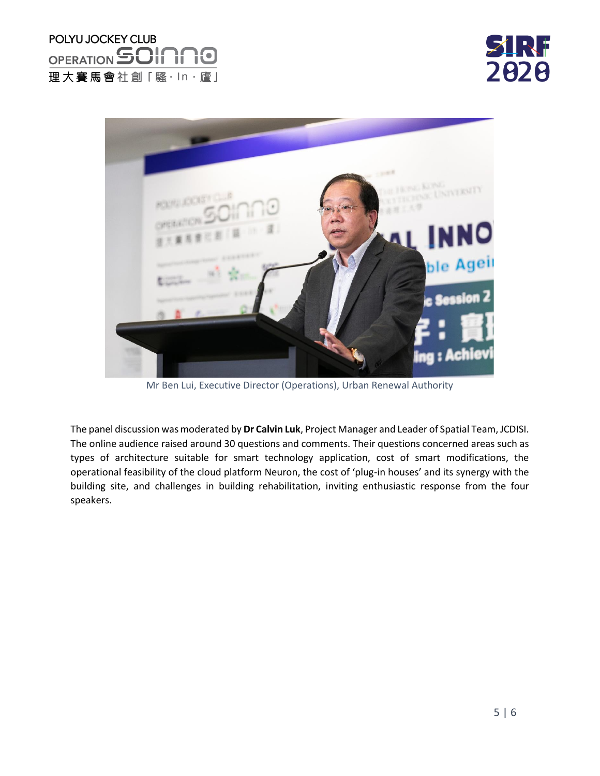



Mr Ben Lui, Executive Director (Operations), Urban Renewal Authority

The panel discussion was moderated by **Dr Calvin Luk**, Project Manager and Leader of Spatial Team, JCDISI. The online audience raised around 30 questions and comments. Their questions concerned areas such as types of architecture suitable for smart technology application, cost of smart modifications, the operational feasibility of the cloud platform Neuron, the cost of 'plug-in houses' and its synergy with the building site, and challenges in building rehabilitation, inviting enthusiastic response from the four speakers.